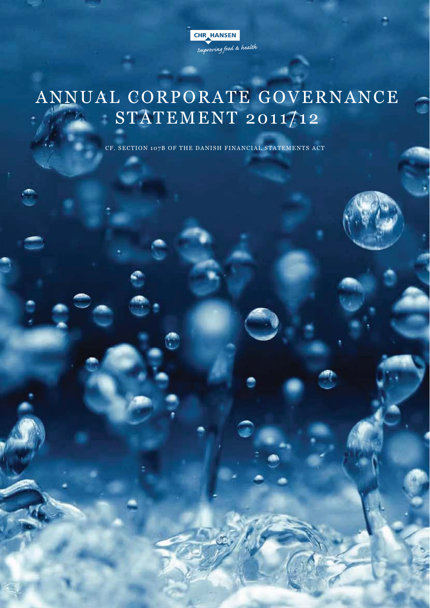CHR HANSEN Improving food & health

# ANNUAL CORPORATE GOVERNANCE STATEMENT 2011/12

CF. SECTION 107B OF THE DANISH FINANCIAL STATEMENTS ACT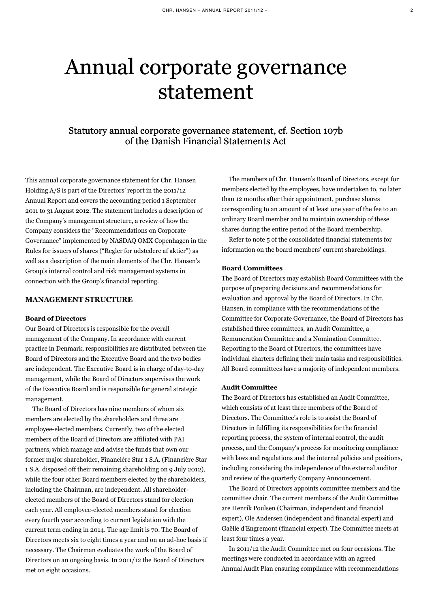# Annual corporate governance statement

# Statutory annual corporate governance statement, cf. Section 107b of the Danish Financial Statements Act

This annual corporate governance statement for Chr. Hansen Holding A/S is part of the Directors' report in the 2011/12 Annual Report and covers the accounting period 1 September 2011 to 31 August 2012. The statement includes a description of the Company's management structure, a review of how the Company considers the "Recommendations on Corporate Governance" implemented by NASDAQ OMX Copenhagen in the Rules for issuers of shares ("Regler for udstedere af aktier") as well as a description of the main elements of the Chr. Hansen's Group's internal control and risk management systems in connection with the Group's financial reporting.

### **MANAGEMENT STRUCTURE**

#### **Board of Directors**

Our Board of Directors is responsible for the overall management of the Company. In accordance with current practice in Denmark, responsibilities are distributed between the Board of Directors and the Executive Board and the two bodies are independent. The Executive Board is in charge of day-to-day management, while the Board of Directors supervises the work of the Executive Board and is responsible for general strategic management.

The Board of Directors has nine members of whom six members are elected by the shareholders and three are employee-elected members. Currently, two of the elected members of the Board of Directors are affiliated with PAI partners, which manage and advise the funds that own our former major shareholder, Financière Star 1 S.A. (Financière Star 1 S.A. disposed off their remaining shareholding on 9 July 2012), while the four other Board members elected by the shareholders, including the Chairman, are independent. All shareholderelected members of the Board of Directors stand for election each year. All employee-elected members stand for election every fourth year according to current legislation with the current term ending in 2014. The age limit is 70. The Board of Directors meets six to eight times a year and on an ad-hoc basis if necessary. The Chairman evaluates the work of the Board of Directors on an ongoing basis. In 2011/12 the Board of Directors met on eight occasions.

The members of Chr. Hansen's Board of Directors, except for members elected by the employees, have undertaken to, no later than 12 months after their appointment, purchase shares corresponding to an amount of at least one year of the fee to an ordinary Board member and to maintain ownership of these shares during the entire period of the Board membership.

Refer to note 5 of the consolidated financial statements for information on the board members' current shareholdings.

## **Board Committees**

The Board of Directors may establish Board Committees with the purpose of preparing decisions and recommendations for evaluation and approval by the Board of Directors. In Chr. Hansen, in compliance with the recommendations of the Committee for Corporate Governance, the Board of Directors has established three committees, an Audit Committee, a Remuneration Committee and a Nomination Committee. Reporting to the Board of Directors, the committees have individual charters defining their main tasks and responsibilities. All Board committees have a majority of independent members.

#### **Audit Committee**

The Board of Directors has established an Audit Committee, which consists of at least three members of the Board of Directors. The Committee's role is to assist the Board of Directors in fulfilling its responsibilities for the financial reporting process, the system of internal control, the audit process, and the Company's process for monitoring compliance with laws and regulations and the internal policies and positions, including considering the independence of the external auditor and review of the quarterly Company Announcement.

The Board of Directors appoints committee members and the committee chair. The current members of the Audit Committee are Henrik Poulsen (Chairman, independent and financial expert), Ole Andersen (independent and financial expert) and Gaëlle d'Engremont (financial expert). The Committee meets at least four times a year.

In 2011/12 the Audit Committee met on four occasions. The meetings were conducted in accordance with an agreed Annual Audit Plan ensuring compliance with recommendations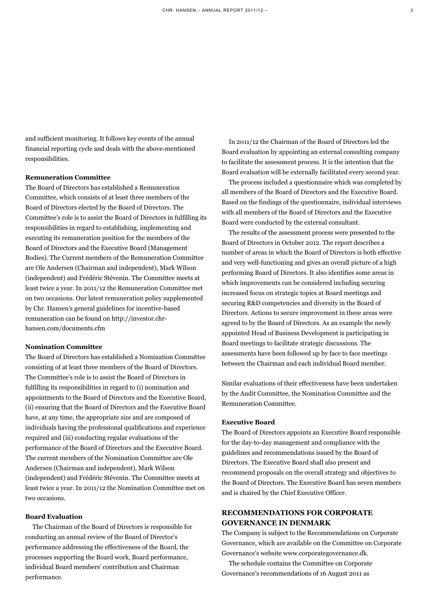and sufficient monitoring. It follows key events of the annual financial reporting cycle and deals with the above-mentioned responsibilities.

## **Remuneration Committee**

The Board of Directors has established a Remuneration Committee, which consists of at least three members of the Board of Directors elected by the Board of Directors. The Committee's role is to assist the Board of Directors in fulfilling its responsibilities in regard to establishing, implementing and executing its remuneration position for the members of the Board of Directors and the Executive Board (Management Bodies). The Current members of the Remuneration Committee are Ole Andersen (Chairman and independent), Mark Wilson (independent) and Frédéric Stévenin. The Committee meets at least twice a year. In 2011/12 the Remuneration Committee met on two occasions. Our latest remuneration policy supplemented by Chr. Hansen's general guidelines for incentive-based remuneration can be found on http://investor.chrhansen.com/documents.cfm

## **Nomination Committee**

The Board of Directors has established a Nomination Committee consisting of at least three members of the Board of Directors. The Committee's role is to assist the Board of Directors in fulfilling its responsibilities in regard to (i) nomination and appointments to the Board of Directors and the Executive Board, (ii) ensuring that the Board of Directors and the Executive Board have, at any time, the appropriate size and are composed of individuals having the professional qualifications and experience required and (iii) conducting regular evaluations of the performance of the Board of Directors and the Executive Board. The current members of the Nomination Committee are Ole Andersen (Chairman and independent), Mark Wilson (independent) and Frédéric Stévenin. The Committee meets at least twice a year. In 2011/12 the Nomination Committee met on two occasions.

# **Board Evaluation**

The Chairman of the Board of Directors is responsible for conducting an annual review of the Board of Director's performance addressing the effectiveness of the Board, the processes supporting the Board work, Board performance, individual Board members' contribution and Chairman performance.

In 2011/12 the Chairman of the Board of Directors led the Board evaluation by appointing an external consulting company to facilitate the assessment process. It is the intention that the Board evaluation will be externally facilitated every second year.

The process included a questionnaire which was completed by all members of the Board of Directors and the Executive Board. Based on the findings of the questionnaire, individual interviews with all members of the Board of Directors and the Executive Board were conducted by the external consultant.

The results of the assessment process were presented to the Board of Directors in October 2012. The report describes a number of areas in which the Board of Directors is both effective and very well-functioning and gives an overall picture of a high performing Board of Directors. It also identifies some areas in which improvements can be considered including securing increased focus on strategic topics at Board meetings and securing R&D competencies and diversity in the Board of Directors. Actions to secure improvement in these areas were agreed to by the Board of Directors. As an example the newly appointed Head of Business Development is participating in Board meetings to facilitate strategic discussions. The assessments have been followed up by face to face meetings between the Chairman and each individual Board member.

Similar evaluations of their effectiveness have been undertaken by the Audit Committee, the Nomination Committee and the Remuneration Committee.

# **Executive Board**

The Board of Directors appoints an Executive Board responsible for the day-to-day management and compliance with the guidelines and recommendations issued by the Board of Directors. The Executive Board shall also present and recommend proposals on the overall strategy and objectives to the Board of Directors. The Executive Board has seven members and is chaired by the Chief Executive Officer.

# **RECOMMENDATIONS FOR CORPORATE GOVERNANCE IN DENMARK**

The Company is subject to the Recommendations on Corporate Governance, which are available on the Committee on Corporate Governance's website www.corporategovernance.dk.

The schedule contains the Committee on Corporate Governance's recommendations of 16 August 2011 as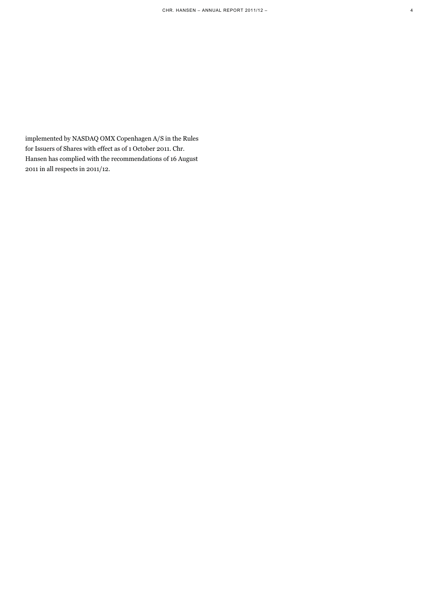implemented by NASDAQ OMX Copenhagen A/S in the Rules for Issuers of Shares with effect as of 1 October 2011. Chr. Hansen has complied with the recommendations of 16 August 2011 in all respects in 2011/12.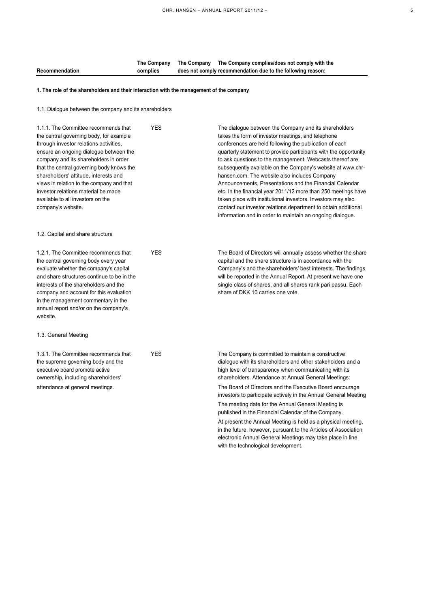|                |          | The Company The Company The Company complies/does not comply with the |
|----------------|----------|-----------------------------------------------------------------------|
| Recommendation | complies | does not comply recommendation due to the following reason:           |

## **1. The role of the shareholders and their interaction with the management of the company**

1.1. Dialogue between the company and its shareholders

| 1.1.1. The Committee recommends that<br>the central governing body, for example<br>through investor relations activities,<br>ensure an ongoing dialogue between the<br>company and its shareholders in order<br>that the central governing body knows the<br>shareholders' attitude, interests and<br>views in relation to the company and that<br>investor relations material be made<br>available to all investors on the<br>company's website. | <b>YES</b> | The dialogue between the Company and its shareholders<br>takes the form of investor meetings, and telephone<br>conferences are held following the publication of each<br>quarterly statement to provide participants with the opportunity<br>to ask questions to the management. Webcasts thereof are<br>subsequently available on the Company's website at www.chr-<br>hansen.com. The website also includes Company<br>Announcements, Presentations and the Financial Calendar<br>etc. In the financial year 2011/12 more than 250 meetings have<br>taken place with institutional investors. Investors may also<br>contact our investor relations department to obtain additional<br>information and in order to maintain an ongoing dialogue. |
|---------------------------------------------------------------------------------------------------------------------------------------------------------------------------------------------------------------------------------------------------------------------------------------------------------------------------------------------------------------------------------------------------------------------------------------------------|------------|---------------------------------------------------------------------------------------------------------------------------------------------------------------------------------------------------------------------------------------------------------------------------------------------------------------------------------------------------------------------------------------------------------------------------------------------------------------------------------------------------------------------------------------------------------------------------------------------------------------------------------------------------------------------------------------------------------------------------------------------------|
| 1.2. Capital and share structure                                                                                                                                                                                                                                                                                                                                                                                                                  |            |                                                                                                                                                                                                                                                                                                                                                                                                                                                                                                                                                                                                                                                                                                                                                   |
| 1.2.1. The Committee recommends that<br>the central governing body every year<br>evaluate whether the company's capital<br>and share structures continue to be in the<br>interests of the shareholders and the<br>company and account for this evaluation<br>in the management commentary in the<br>annual report and/or on the company's<br>website.                                                                                             | <b>YES</b> | The Board of Directors will annually assess whether the share<br>capital and the share structure is in accordance with the<br>Company's and the shareholders' best interests. The findings<br>will be reported in the Annual Report. At present we have one<br>single class of shares, and all shares rank pari passu. Each<br>share of DKK 10 carries one vote.                                                                                                                                                                                                                                                                                                                                                                                  |
| 1.3. General Meeting                                                                                                                                                                                                                                                                                                                                                                                                                              |            |                                                                                                                                                                                                                                                                                                                                                                                                                                                                                                                                                                                                                                                                                                                                                   |
| 1.3.1. The Committee recommends that<br>the supreme governing body and the<br>executive board promote active<br>ownership, including shareholders'<br>attendance at general meetings.                                                                                                                                                                                                                                                             | <b>YES</b> | The Company is committed to maintain a constructive<br>dialogue with its shareholders and other stakeholders and a<br>high level of transparency when communicating with its<br>shareholders. Attendance at Annual General Meetings:<br>The Board of Directors and the Executive Board encourage<br>investors to participate actively in the Annual General Meeting<br>The meeting date for the Annual General Meeting is                                                                                                                                                                                                                                                                                                                         |
|                                                                                                                                                                                                                                                                                                                                                                                                                                                   |            | published in the Financial Calendar of the Company.                                                                                                                                                                                                                                                                                                                                                                                                                                                                                                                                                                                                                                                                                               |
|                                                                                                                                                                                                                                                                                                                                                                                                                                                   |            | At present the Annual Meeting is held as a physical meeting,<br>in the future, however, pursuant to the Articles of Association<br>electronic Annual General Meetings may take place in line                                                                                                                                                                                                                                                                                                                                                                                                                                                                                                                                                      |

with the technological development.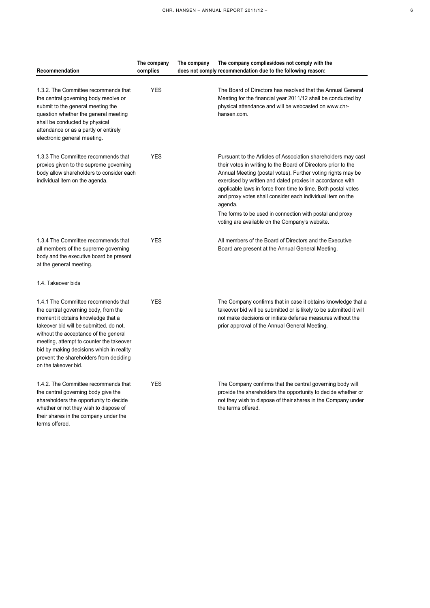| Recommendation                                                                                                                                                                                                                                                                                                                                                  | The company | The company<br>The company complies/does not comply with the                                                                                                                                                                                                                                                                                                                                                                                                                                                       |
|-----------------------------------------------------------------------------------------------------------------------------------------------------------------------------------------------------------------------------------------------------------------------------------------------------------------------------------------------------------------|-------------|--------------------------------------------------------------------------------------------------------------------------------------------------------------------------------------------------------------------------------------------------------------------------------------------------------------------------------------------------------------------------------------------------------------------------------------------------------------------------------------------------------------------|
|                                                                                                                                                                                                                                                                                                                                                                 | complies    | does not comply recommendation due to the following reason:                                                                                                                                                                                                                                                                                                                                                                                                                                                        |
| 1.3.2. The Committee recommends that<br>the central governing body resolve or<br>submit to the general meeting the<br>question whether the general meeting<br>shall be conducted by physical<br>attendance or as a partly or entirely<br>electronic general meeting.                                                                                            | <b>YES</b>  | The Board of Directors has resolved that the Annual General<br>Meeting for the financial year 2011/12 shall be conducted by<br>physical attendance and will be webcasted on www.chr-<br>hansen.com.                                                                                                                                                                                                                                                                                                                |
| 1.3.3 The Committee recommends that<br>proxies given to the supreme governing<br>body allow shareholders to consider each<br>individual item on the agenda.                                                                                                                                                                                                     | <b>YES</b>  | Pursuant to the Articles of Association shareholders may cast<br>their votes in writing to the Board of Directors prior to the<br>Annual Meeting (postal votes). Further voting rights may be<br>exercised by written and dated proxies in accordance with<br>applicable laws in force from time to time. Both postal votes<br>and proxy votes shall consider each individual item on the<br>agenda.<br>The forms to be used in connection with postal and proxy<br>voting are available on the Company's website. |
| 1.3.4 The Committee recommends that<br>all members of the supreme governing<br>body and the executive board be present<br>at the general meeting.                                                                                                                                                                                                               | <b>YES</b>  | All members of the Board of Directors and the Executive<br>Board are present at the Annual General Meeting.                                                                                                                                                                                                                                                                                                                                                                                                        |
| 1.4. Takeover bids                                                                                                                                                                                                                                                                                                                                              |             |                                                                                                                                                                                                                                                                                                                                                                                                                                                                                                                    |
| 1.4.1 The Committee recommends that<br>the central governing body, from the<br>moment it obtains knowledge that a<br>takeover bid will be submitted, do not,<br>without the acceptance of the general<br>meeting, attempt to counter the takeover<br>bid by making decisions which in reality<br>prevent the shareholders from deciding<br>on the takeover bid. | <b>YES</b>  | The Company confirms that in case it obtains knowledge that a<br>takeover bid will be submitted or is likely to be submitted it will<br>not make decisions or initiate defense measures without the<br>prior approval of the Annual General Meeting.                                                                                                                                                                                                                                                               |
| 1.4.2. The Committee recommends that<br>the central governing body give the<br>shareholders the opportunity to decide<br>whether or not they wish to dispose of<br>their shares in the company under the<br>terms offered.                                                                                                                                      | <b>YES</b>  | The Company confirms that the central governing body will<br>provide the shareholders the opportunity to decide whether or<br>not they wish to dispose of their shares in the Company under<br>the terms offered.                                                                                                                                                                                                                                                                                                  |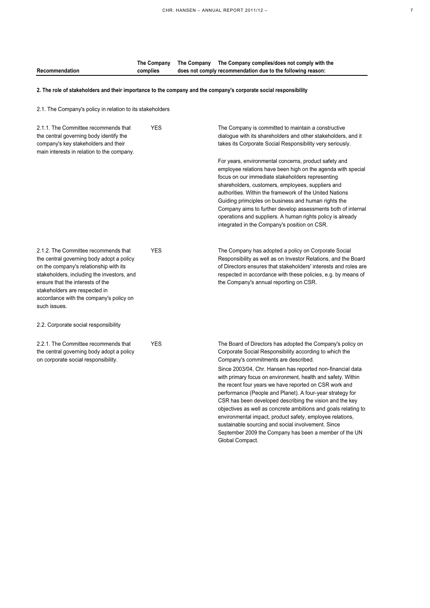|                |          | The Company The Company The Company complies/does not comply with the |
|----------------|----------|-----------------------------------------------------------------------|
| Recommendation | complies | does not comply recommendation due to the following reason:           |

## **2. The role of stakeholders and their importance to the company and the company's corporate social responsibility**

2.1. The Company's policy in relation to its stakeholders

| 2.1.1. The Committee recommends that<br>the central governing body identify the<br>company's key stakeholders and their<br>main interests in relation to the company.                                                                                                                                     | YES        | The Company is committed to maintain a constructive<br>dialogue with its shareholders and other stakeholders, and it<br>takes its Corporate Social Responsibility very seriously.<br>For years, environmental concerns, product safety and<br>employee relations have been high on the agenda with special<br>focus on our immediate stakeholders representing<br>shareholders, customers, employees, suppliers and<br>authorities. Within the framework of the United Nations<br>Guiding primciples on business and human rights the<br>Company aims to further develop assessments both of internal<br>operations and suppliers. A human rights policy is already<br>integrated in the Company's position on CSR.                             |
|-----------------------------------------------------------------------------------------------------------------------------------------------------------------------------------------------------------------------------------------------------------------------------------------------------------|------------|-------------------------------------------------------------------------------------------------------------------------------------------------------------------------------------------------------------------------------------------------------------------------------------------------------------------------------------------------------------------------------------------------------------------------------------------------------------------------------------------------------------------------------------------------------------------------------------------------------------------------------------------------------------------------------------------------------------------------------------------------|
| 2.1.2. The Committee recommends that<br>the central governing body adopt a policy<br>on the company's relationship with its<br>stakeholders, including the investors, and<br>ensure that the interests of the<br>stakeholders are respected in<br>accordance with the company's policy on<br>such issues. | <b>YES</b> | The Company has adopted a policy on Corporate Social<br>Responsibility as well as on Investor Relations, and the Board<br>of Directors ensures that stakeholders' interests and roles are<br>respected in accordance with these policies, e.g. by means of<br>the Company's annual reporting on CSR.                                                                                                                                                                                                                                                                                                                                                                                                                                            |
| 2.2. Corporate social responsibility                                                                                                                                                                                                                                                                      |            |                                                                                                                                                                                                                                                                                                                                                                                                                                                                                                                                                                                                                                                                                                                                                 |
| 2.2.1. The Committee recommends that<br>the central governing body adopt a policy<br>on corporate social responsibility.                                                                                                                                                                                  | <b>YES</b> | The Board of Directors has adopted the Company's policy on<br>Corporate Social Responsibility according to which the<br>Company's commitments are described.<br>Since 2003/04, Chr. Hansen has reported non-financial data<br>with primary focus on environment, health and safety. Within<br>the recent four years we have reported on CSR work and<br>performance (People and Planet). A four-year strategy for<br>CSR has been developed describing the vision and the key<br>objectives as well as concrete ambitions and goals relating to<br>environmental impact, product safety, employee relations,<br>sustainable sourcing and social involvement. Since<br>September 2009 the Company has been a member of the UN<br>Global Compact. |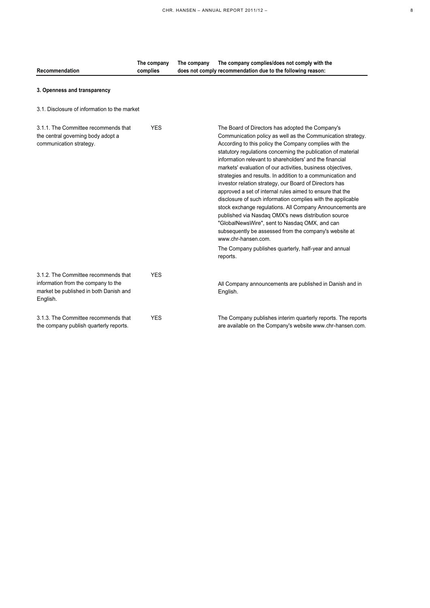| Recommendation                                                                                                                    | The company<br>complies | The company<br>The company complies/does not comply with the<br>does not comply recommendation due to the following reason:                                                                                                                                                                                                                                                                                                                                                                                                                                                                                                                                                                                                                                                                                                                                                                                                                        |
|-----------------------------------------------------------------------------------------------------------------------------------|-------------------------|----------------------------------------------------------------------------------------------------------------------------------------------------------------------------------------------------------------------------------------------------------------------------------------------------------------------------------------------------------------------------------------------------------------------------------------------------------------------------------------------------------------------------------------------------------------------------------------------------------------------------------------------------------------------------------------------------------------------------------------------------------------------------------------------------------------------------------------------------------------------------------------------------------------------------------------------------|
| 3. Openness and transparency                                                                                                      |                         |                                                                                                                                                                                                                                                                                                                                                                                                                                                                                                                                                                                                                                                                                                                                                                                                                                                                                                                                                    |
| 3.1. Disclosure of information to the market                                                                                      |                         |                                                                                                                                                                                                                                                                                                                                                                                                                                                                                                                                                                                                                                                                                                                                                                                                                                                                                                                                                    |
| 3.1.1. The Committee recommends that<br>the central governing body adopt a<br>communication strategy.                             | <b>YES</b>              | The Board of Directors has adopted the Company's<br>Communication policy as well as the Communication strategy.<br>According to this policy the Company complies with the<br>statutory regulations concerning the publication of material<br>information relevant to shareholders' and the financial<br>markets' evaluation of our activities, business objectives,<br>strategies and results. In addition to a communication and<br>investor relation strategy, our Board of Directors has<br>approved a set of internal rules aimed to ensure that the<br>disclosure of such information complies with the applicable<br>stock exchange regulations. All Company Announcements are<br>published via Nasdaq OMX's news distribution source<br>"GlobalNewsWire", sent to Nasdaq OMX, and can<br>subsequently be assessed from the company's website at<br>www.chr-hansen.com.<br>The Company publishes quarterly, half-year and annual<br>reports. |
| 3.1.2. The Committee recommends that<br>information from the company to the<br>market be published in both Danish and<br>English. | <b>YES</b>              | All Company announcements are published in Danish and in<br>English.                                                                                                                                                                                                                                                                                                                                                                                                                                                                                                                                                                                                                                                                                                                                                                                                                                                                               |
| 3.1.3. The Committee recommends that<br>the company publish quarterly reports.                                                    | <b>YES</b>              | The Company publishes interim quarterly reports. The reports<br>are available on the Company's website www.chr-hansen.com.                                                                                                                                                                                                                                                                                                                                                                                                                                                                                                                                                                                                                                                                                                                                                                                                                         |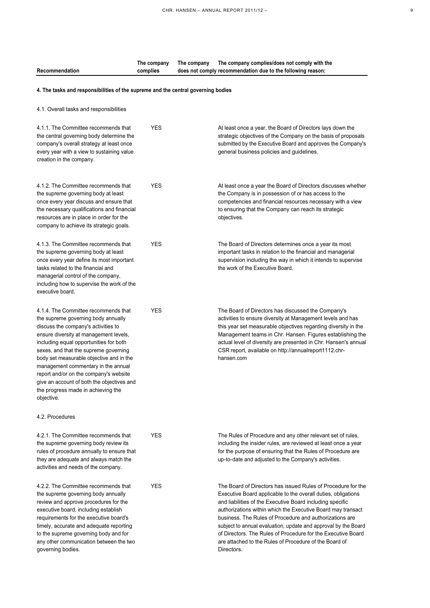| Recommendation                                                                                                                                                                                                                                                                                                                                                                                                                                                                 | The company<br>complies | The company | The company complies/does not comply with the<br>does not comply recommendation due to the following reason:                                                                                                                                                                                                                                                                                                                                                                                                                    |  |  |
|--------------------------------------------------------------------------------------------------------------------------------------------------------------------------------------------------------------------------------------------------------------------------------------------------------------------------------------------------------------------------------------------------------------------------------------------------------------------------------|-------------------------|-------------|---------------------------------------------------------------------------------------------------------------------------------------------------------------------------------------------------------------------------------------------------------------------------------------------------------------------------------------------------------------------------------------------------------------------------------------------------------------------------------------------------------------------------------|--|--|
| 4. The tasks and responsibilities of the supreme and the central governing bodies                                                                                                                                                                                                                                                                                                                                                                                              |                         |             |                                                                                                                                                                                                                                                                                                                                                                                                                                                                                                                                 |  |  |
| 4.1. Overall tasks and responsibilities                                                                                                                                                                                                                                                                                                                                                                                                                                        |                         |             |                                                                                                                                                                                                                                                                                                                                                                                                                                                                                                                                 |  |  |
| 4.1.1. The Committee recommends that<br>the central governing body determine the<br>company's overall strategy at least once<br>every year with a view to sustaining value<br>creation in the company.                                                                                                                                                                                                                                                                         | <b>YES</b>              |             | At least once a year, the Board of Directors lays down the<br>strategic objectives of the Company on the basis of proposals<br>submitted by the Executive Board and approves the Company's<br>general business policies and guidelines.                                                                                                                                                                                                                                                                                         |  |  |
| 4.1.2. The Committee recommends that<br>the supreme governing body at least<br>once every year discuss and ensure that<br>the necessary qualifications and financial<br>resources are in place in order for the<br>company to achieve its strategic goals.                                                                                                                                                                                                                     | <b>YES</b>              |             | At least once a year the Board of Directors discusses whether<br>the Company is in possession of or has access to the<br>competencies and financial resources necessary with a view<br>to ensuring that the Company can reach its strategic<br>objectives.                                                                                                                                                                                                                                                                      |  |  |
| 4.1.3. The Committee recommends that<br>the supreme governing body at least<br>once every year define its most important<br>tasks related to the financial and<br>managerial control of the company,<br>including how to supervise the work of the<br>executive board.                                                                                                                                                                                                         | <b>YES</b>              |             | The Board of Directors determines once a year its most<br>important tasks in relation to the financial and managerial<br>supervision including the way in which it intends to supervise<br>the work of the Executive Board.                                                                                                                                                                                                                                                                                                     |  |  |
| 4.1.4. The Committee recommends that<br>the supreme governing body annually<br>discuss the company's activities to<br>ensure diversity at management levels,<br>including equal opportunities for both<br>sexes, and that the supreme governing<br>body set measurable objective and in the<br>management commentary in the annual<br>report and/or on the company's website<br>give an account of both the objectives and<br>the progress made in achieving the<br>objective. | <b>YES</b>              |             | The Board of Directors has discussed the Company's<br>activities to ensure diversity at Management levels and has<br>this year set measurable objectives regarding diversity in the<br>Management teams in Chr. Hansen. Figures establishing the<br>actual level of diversity are presented in Chr. Hansen's annual<br>CSR report, available on http://annualreport1112.chr-<br>hansen.com                                                                                                                                      |  |  |
| 4.2. Procedures                                                                                                                                                                                                                                                                                                                                                                                                                                                                |                         |             |                                                                                                                                                                                                                                                                                                                                                                                                                                                                                                                                 |  |  |
| 4.2.1. The Committee recommends that<br>the supreme governing body review its<br>rules of procedure annually to ensure that<br>they are adequate and always match the<br>activities and needs of the company.                                                                                                                                                                                                                                                                  | <b>YES</b>              |             | The Rules of Procedure and any other relevant set of rules,<br>including the insider rules, are reviewed at least once a year<br>for the purpose of ensuring that the Rules of Procedure are<br>up-to-date and adjusted to the Company's activities.                                                                                                                                                                                                                                                                            |  |  |
| 4.2.2. The Committee recommends that<br>the supreme governing body annually<br>review and approve procedures for the<br>executive board, including establish<br>requirements for the executive board's<br>timely, accurate and adequate reporting<br>to the supreme governing body and for<br>any other communication between the two<br>governing bodies.                                                                                                                     | <b>YES</b>              |             | The Board of Directors has issued Rules of Procedure for the<br>Executive Board applicable to the overall duties, obligations<br>and liabilities of the Executive Board including specific<br>authorizations within which the Executive Board may transact<br>business. The Rules of Procedure and authorizations are<br>subject to annual evaluation, update and approval by the Board<br>of Directors. The Rules of Procedure for the Executive Board<br>are attached to the Rules of Procedure of the Board of<br>Directors. |  |  |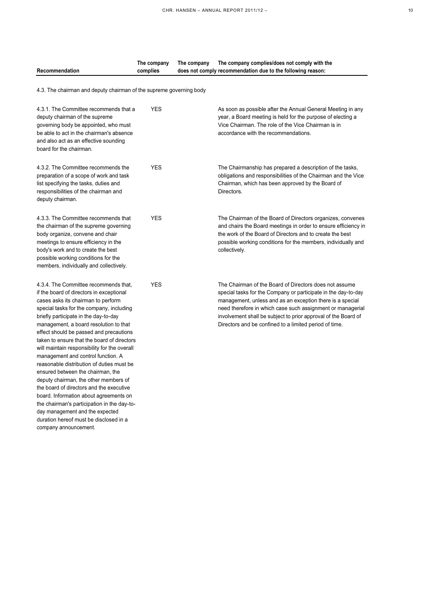| ۰,          |
|-------------|
| I<br>$\sim$ |

|                | The company | The company | The company complies/does not comply with the               |
|----------------|-------------|-------------|-------------------------------------------------------------|
| Recommendation | complies    |             | does not comply recommendation due to the following reason: |

4.3. The chairman and deputy chairman of the supreme governing body

| 4.3.1. The Committee recommends that a<br>deputy chairman of the supreme<br>governing body be appointed, who must<br>be able to act in the chairman's absence<br>and also act as an effective sounding<br>board for the chairman.                                                                                                                                                                                                                                                                                                                                                                                                                                                                                                                                                                            | <b>YES</b> | As soon as possible after the Annual General Meeting in any<br>year, a Board meeting is held for the purpose of electing a<br>Vice Chairman. The role of the Vice Chairman is in<br>accordance with the recommendations.                                                                                                                                                        |
|--------------------------------------------------------------------------------------------------------------------------------------------------------------------------------------------------------------------------------------------------------------------------------------------------------------------------------------------------------------------------------------------------------------------------------------------------------------------------------------------------------------------------------------------------------------------------------------------------------------------------------------------------------------------------------------------------------------------------------------------------------------------------------------------------------------|------------|---------------------------------------------------------------------------------------------------------------------------------------------------------------------------------------------------------------------------------------------------------------------------------------------------------------------------------------------------------------------------------|
| 4.3.2. The Committee recommends the<br>preparation of a scope of work and task<br>list specifying the tasks, duties and<br>responsibilities of the chairman and<br>deputy chairman.                                                                                                                                                                                                                                                                                                                                                                                                                                                                                                                                                                                                                          | <b>YES</b> | The Chairmanship has prepared a description of the tasks,<br>obligations and responsibilities of the Chairman and the Vice<br>Chairman, which has been approved by the Board of<br>Directors.                                                                                                                                                                                   |
| 4.3.3. The Committee recommends that<br>the chairman of the supreme governing<br>body organize, convene and chair<br>meetings to ensure efficiency in the<br>body's work and to create the best<br>possible working conditions for the<br>members, individually and collectively.                                                                                                                                                                                                                                                                                                                                                                                                                                                                                                                            | <b>YES</b> | The Chairman of the Board of Directors organizes, convenes<br>and chairs the Board meetings in order to ensure efficiency in<br>the work of the Board of Directors and to create the best<br>possible working conditions for the members, individually and<br>collectively.                                                                                                     |
| 4.3.4. The Committee recommends that,<br>if the board of directors in exceptional<br>cases asks its chairman to perform<br>special tasks for the company, including<br>briefly participate in the day-to-day<br>management, a board resolution to that<br>effect should be passed and precautions<br>taken to ensure that the board of directors<br>will maintain responsibility for the overall<br>management and control function. A<br>reasonable distribution of duties must be<br>ensured between the chairman, the<br>deputy chairman, the other members of<br>the board of directors and the executive<br>board. Information about agreements on<br>the chairman's participation in the day-to-<br>day management and the expected<br>duration hereof must be disclosed in a<br>company announcement. | <b>YES</b> | The Chairman of the Board of Directors does not assume<br>special tasks for the Company or participate in the day-to-day<br>management, unless and as an exception there is a special<br>need therefore in which case such assignment or managerial<br>involvement shall be subject to prior approval of the Board of<br>Directors and be confined to a limited period of time. |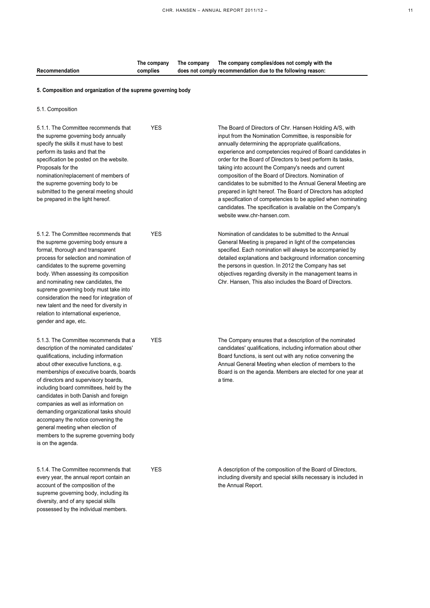|                | The company | The company | The company complies/does not comply with the               |
|----------------|-------------|-------------|-------------------------------------------------------------|
| Recommendation | complies    |             | does not comply recommendation due to the following reason: |

## **5. Composition and organization of the supreme governing body**

5.1. Composition

possessed by the individual members.

| 5.1.1. The Committee recommends that<br>the supreme governing body annually<br>specify the skills it must have to best<br>perform its tasks and that the<br>specification be posted on the website.<br>Proposals for the<br>nomination/replacement of members of<br>the supreme governing body to be<br>submitted to the general meeting should<br>be prepared in the light hereof.                                                                                                                                                                                 | <b>YES</b> | The Board of Directors of Chr. Hansen Holding A/S, with<br>input from the Nomination Committee, is responsible for<br>annually determining the appropriate qualifications,<br>experience and competencies required of Board candidates in<br>order for the Board of Directors to best perform its tasks,<br>taking into account the Company's needs and current<br>composition of the Board of Directors. Nomination of<br>candidates to be submitted to the Annual General Meeting are<br>prepared in light hereof. The Board of Directors has adopted<br>a specification of competencies to be applied when nominating<br>candidates. The specification is available on the Company's<br>website www.chr-hansen.com. |
|---------------------------------------------------------------------------------------------------------------------------------------------------------------------------------------------------------------------------------------------------------------------------------------------------------------------------------------------------------------------------------------------------------------------------------------------------------------------------------------------------------------------------------------------------------------------|------------|------------------------------------------------------------------------------------------------------------------------------------------------------------------------------------------------------------------------------------------------------------------------------------------------------------------------------------------------------------------------------------------------------------------------------------------------------------------------------------------------------------------------------------------------------------------------------------------------------------------------------------------------------------------------------------------------------------------------|
| 5.1.2. The Committee recommends that<br>the supreme governing body ensure a<br>formal, thorough and transparent<br>process for selection and nomination of<br>candidates to the supreme governing<br>body. When assessing its composition<br>and nominating new candidates, the<br>supreme governing body must take into<br>consideration the need for integration of<br>new talent and the need for diversity in<br>relation to international experience,<br>gender and age, etc.                                                                                  | <b>YES</b> | Nomination of candidates to be submitted to the Annual<br>General Meeting is prepared in light of the competencies<br>specified. Each nomination will always be accompanied by<br>detailed explanations and background information concerning<br>the persons in question. In 2012 the Company has set<br>objectives regarding diversity in the management teams in<br>Chr. Hansen, This also includes the Board of Directors.                                                                                                                                                                                                                                                                                          |
| 5.1.3. The Committee recommends that a<br>description of the nominated candidates'<br>qualifications, including information<br>about other executive functions, e.g.<br>memberships of executive boards, boards<br>of directors and supervisory boards,<br>including board committees, held by the<br>candidates in both Danish and foreign<br>companies as well as information on<br>demanding organizational tasks should<br>accompany the notice convening the<br>general meeting when election of<br>members to the supreme governing body<br>is on the agenda. | <b>YES</b> | The Company ensures that a description of the nominated<br>candidates' qualifications, including information about other<br>Board functions, is sent out with any notice convening the<br>Annual General Meeting when election of members to the<br>Board is on the agenda. Members are elected for one year at<br>a time.                                                                                                                                                                                                                                                                                                                                                                                             |
| 5.1.4. The Committee recommends that<br>every year, the annual report contain an<br>account of the composition of the<br>supreme governing body, including its<br>diversity, and of any special skills                                                                                                                                                                                                                                                                                                                                                              | <b>YES</b> | A description of the composition of the Board of Directors,<br>including diversity and special skills necessary is included in<br>the Annual Report.                                                                                                                                                                                                                                                                                                                                                                                                                                                                                                                                                                   |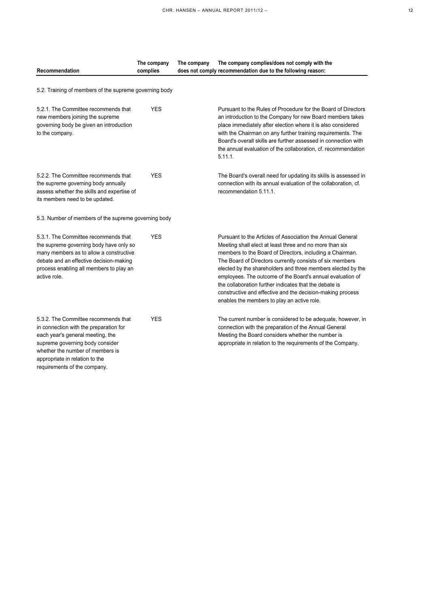| c |
|---|
|   |
|   |

| Recommendation                                                                                                                                                                                                                   | The company<br>complies | The company complies/does not comply with the<br>The company<br>does not comply recommendation due to the following reason:                                                                                                                                                                                                                                                                                                                                                                                                                        |
|----------------------------------------------------------------------------------------------------------------------------------------------------------------------------------------------------------------------------------|-------------------------|----------------------------------------------------------------------------------------------------------------------------------------------------------------------------------------------------------------------------------------------------------------------------------------------------------------------------------------------------------------------------------------------------------------------------------------------------------------------------------------------------------------------------------------------------|
|                                                                                                                                                                                                                                  |                         |                                                                                                                                                                                                                                                                                                                                                                                                                                                                                                                                                    |
| 5.2. Training of members of the supreme governing body                                                                                                                                                                           |                         |                                                                                                                                                                                                                                                                                                                                                                                                                                                                                                                                                    |
| 5.2.1. The Committee recommends that<br>new members joining the supreme<br>governing body be given an introduction<br>to the company.                                                                                            | <b>YES</b>              | Pursuant to the Rules of Procedure for the Board of Directors<br>an introduction to the Company for new Board members takes<br>place immediately after election where it is also considered<br>with the Chairman on any further training requirements. The<br>Board's overall skills are further assessed in connection with<br>the annual evaluation of the collaboration, cf. recommendation<br>5.11.1.                                                                                                                                          |
| 5.2.2. The Committee recommends that<br>the supreme governing body annually<br>assess whether the skills and expertise of<br>its members need to be updated.                                                                     | <b>YES</b>              | The Board's overall need for updating its skills is assessed in<br>connection with its annual evaluation of the collaboration, cf.<br>recommendation 5.11.1.                                                                                                                                                                                                                                                                                                                                                                                       |
| 5.3. Number of members of the supreme governing body                                                                                                                                                                             |                         |                                                                                                                                                                                                                                                                                                                                                                                                                                                                                                                                                    |
| 5.3.1. The Committee recommends that<br>the supreme governing body have only so<br>many members as to allow a constructive<br>debate and an effective decision-making<br>process enabling all members to play an<br>active role. | <b>YES</b>              | Pursuant to the Articles of Association the Annual General<br>Meeting shall elect at least three and no more than six<br>members to the Board of Directors, including a Chairman.<br>The Board of Directors currently consists of six members<br>elected by the shareholders and three members elected by the<br>employees. The outcome of the Board's annual evaluation of<br>the collaboration further indicates that the debate is<br>constructive and effective and the decision-making process<br>enables the members to play an active role. |
| 5.3.2. The Committee recommends that<br>in connection with the preparation for<br>each year's general meeting, the<br>supreme governing body consider<br>whether the number of members is<br>appropriate in relation to the      | <b>YES</b>              | The current number is considered to be adequate, however, in<br>connection with the preparation of the Annual General<br>Meeting the Board considers whether the number is<br>appropriate in relation to the requirements of the Company.                                                                                                                                                                                                                                                                                                          |

requirements of the company.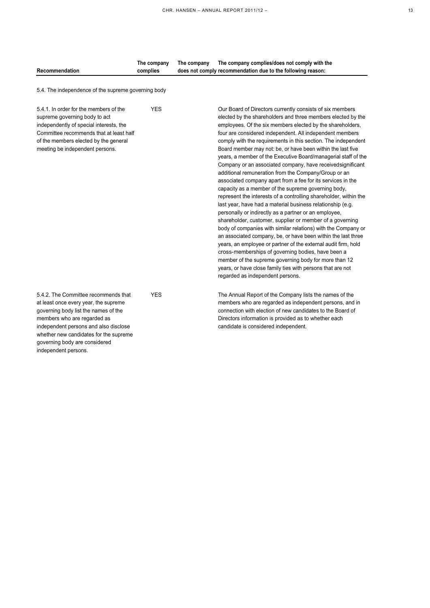| Recommendation                                                                                                                                                                                                                                                           | The company<br>complies | The company<br>The company complies/does not comply with the<br>does not comply recommendation due to the following reason:                                                                                                                                                                                                                                                                                                                                                                                                                                                                                                                                                                                                                                                                                                                                                                                                                                                                                                                                                                                                                                                                                                                                                                                                                                                  |  |
|--------------------------------------------------------------------------------------------------------------------------------------------------------------------------------------------------------------------------------------------------------------------------|-------------------------|------------------------------------------------------------------------------------------------------------------------------------------------------------------------------------------------------------------------------------------------------------------------------------------------------------------------------------------------------------------------------------------------------------------------------------------------------------------------------------------------------------------------------------------------------------------------------------------------------------------------------------------------------------------------------------------------------------------------------------------------------------------------------------------------------------------------------------------------------------------------------------------------------------------------------------------------------------------------------------------------------------------------------------------------------------------------------------------------------------------------------------------------------------------------------------------------------------------------------------------------------------------------------------------------------------------------------------------------------------------------------|--|
| 5.4. The independence of the supreme governing body                                                                                                                                                                                                                      |                         |                                                                                                                                                                                                                                                                                                                                                                                                                                                                                                                                                                                                                                                                                                                                                                                                                                                                                                                                                                                                                                                                                                                                                                                                                                                                                                                                                                              |  |
| 5.4.1. In order for the members of the<br>supreme governing body to act<br>independently of special interests, the<br>Committee recommends that at least half<br>of the members elected by the general<br>meeting be independent persons.                                | <b>YES</b>              | Our Board of Directors currently consists of six members<br>elected by the shareholders and three members elected by the<br>employees. Of the six members elected by the shareholders,<br>four are considered independent. All independent members<br>comply with the requirements in this section. The independent<br>Board member may not: be, or have been within the last five<br>years, a member of the Executive Board/managerial staff of the<br>Company or an associated company, have receivedsignificant<br>additional remuneration from the Company/Group or an<br>associated company apart from a fee for its services in the<br>capacity as a member of the supreme governing body,<br>represent the interests of a controlling shareholder, within the<br>last year, have had a material business relationship (e.g.<br>personally or indirectly as a partner or an employee,<br>shareholder, customer, supplier or member of a governing<br>body of companies with similar relations) with the Company or<br>an associated company, be, or have been within the last three<br>years, an employee or partner of the external audit firm, hold<br>cross-memberships of governing bodies, have been a<br>member of the supreme governing body for more than 12<br>years, or have close family ties with persons that are not<br>regarded as independent persons. |  |
| 5.4.2. The Committee recommends that<br>at least once every year, the supreme<br>governing body list the names of the<br>members who are regarded as<br>independent persons and also disclose<br>whether new candidates for the supreme<br>governing body are considered | <b>YES</b>              | The Annual Report of the Company lists the names of the<br>members who are regarded as independent persons, and in<br>connection with election of new candidates to the Board of<br>Directors information is provided as to whether each<br>candidate is considered independent.                                                                                                                                                                                                                                                                                                                                                                                                                                                                                                                                                                                                                                                                                                                                                                                                                                                                                                                                                                                                                                                                                             |  |

independent persons.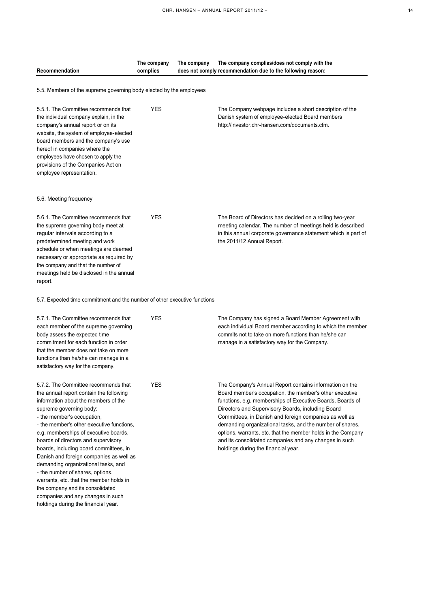|                                                                                                                                                         | The company | The company | The company complies/does not comply with the                                                                                                                                            |
|---------------------------------------------------------------------------------------------------------------------------------------------------------|-------------|-------------|------------------------------------------------------------------------------------------------------------------------------------------------------------------------------------------|
| Recommendation                                                                                                                                          | complies    |             | does not comply recommendation due to the following reason:                                                                                                                              |
|                                                                                                                                                         |             |             |                                                                                                                                                                                          |
| 5.5. Members of the supreme governing body elected by the employees                                                                                     |             |             |                                                                                                                                                                                          |
| 5.5.1. The Committee recommends that<br>the individual company explain, in the<br>company's annual report or on its                                     | <b>YES</b>  |             | The Company webpage includes a short description of the<br>Danish system of employee-elected Board members<br>http://investor.chr-hansen.com/documents.cfm.                              |
| website, the system of employee-elected<br>board members and the company's use<br>hereof in companies where the                                         |             |             |                                                                                                                                                                                          |
| employees have chosen to apply the<br>provisions of the Companies Act on<br>employee representation.                                                    |             |             |                                                                                                                                                                                          |
| 5.6. Meeting frequency                                                                                                                                  |             |             |                                                                                                                                                                                          |
| 5.6.1. The Committee recommends that<br>the supreme governing body meet at<br>regular intervals according to a                                          | <b>YES</b>  |             | The Board of Directors has decided on a rolling two-year<br>meeting calendar. The number of meetings held is described<br>in this annual corporate governance statement which is part of |
| predetermined meeting and work<br>schedule or when meetings are deemed<br>necessary or appropriate as required by<br>the company and that the number of |             |             | the 2011/12 Annual Report.                                                                                                                                                               |
| meetings held be disclosed in the annual<br>report.                                                                                                     |             |             |                                                                                                                                                                                          |
| 5.7. Expected time commitment and the number of other executive functions                                                                               |             |             |                                                                                                                                                                                          |
| 5.7.1. The Committee recommends that<br>each member of the supreme governing                                                                            | <b>YES</b>  |             | The Company has signed a Board Member Agreement with<br>each individual Board member according to which the member                                                                       |
| body assess the expected time<br>commitment for each function in order                                                                                  |             |             | commits not to take on more functions than he/she can<br>manage in a satisfactory way for the Company.                                                                                   |
| that the member does not take on more<br>functions than he/she can manage in a<br>satisfactory way for the company.                                     |             |             |                                                                                                                                                                                          |
| 5.7.2. The Committee recommends that                                                                                                                    | YES         |             | The Company's Annual Report contains information on the                                                                                                                                  |
| the annual report contain the following                                                                                                                 |             |             | Board member's occupation, the member's other executive                                                                                                                                  |
| information about the members of the                                                                                                                    |             |             | functions, e.g. memberships of Executive Boards, Boards of                                                                                                                               |
| supreme governing body:                                                                                                                                 |             |             | Directors and Supervisory Boards, including Board                                                                                                                                        |
| - the member's occupation,                                                                                                                              |             |             | Committees, in Danish and foreign companies as well as                                                                                                                                   |
| - the member's other executive functions,                                                                                                               |             |             | demanding organizational tasks, and the number of shares,                                                                                                                                |
| e.g. memberships of executive boards,                                                                                                                   |             |             | options, warrants, etc. that the member holds in the Company                                                                                                                             |
| boards of directors and supervisory<br>boards, including board committees, in                                                                           |             |             | and its consolidated companies and any changes in such<br>holdings during the financial year.                                                                                            |
| Danish and foreign companies as well as                                                                                                                 |             |             |                                                                                                                                                                                          |
| demanding organizational tasks, and                                                                                                                     |             |             |                                                                                                                                                                                          |
| - the number of shares, options,                                                                                                                        |             |             |                                                                                                                                                                                          |
| warrants, etc. that the member holds in                                                                                                                 |             |             |                                                                                                                                                                                          |
| the company and its consolidated                                                                                                                        |             |             |                                                                                                                                                                                          |
| companies and any changes in such                                                                                                                       |             |             |                                                                                                                                                                                          |
| holdings during the financial year.                                                                                                                     |             |             |                                                                                                                                                                                          |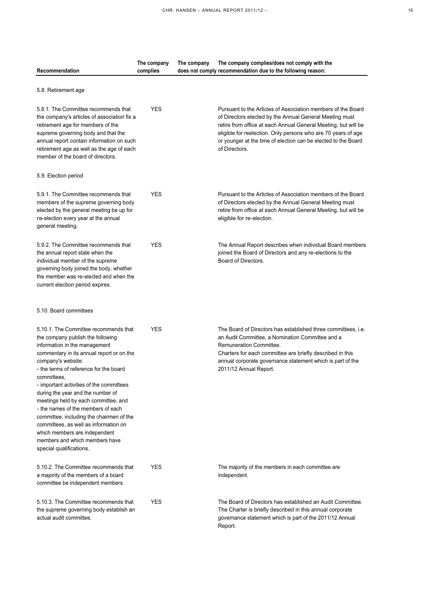| Recommendation                                                                                                                                                                                                                                                                                                                                                                                                                                                                                                                                                                            | The company<br>complies | The company complies/does not comply with the<br>The company<br>does not comply recommendation due to the following reason:                                                                                                                                                                                                                   |
|-------------------------------------------------------------------------------------------------------------------------------------------------------------------------------------------------------------------------------------------------------------------------------------------------------------------------------------------------------------------------------------------------------------------------------------------------------------------------------------------------------------------------------------------------------------------------------------------|-------------------------|-----------------------------------------------------------------------------------------------------------------------------------------------------------------------------------------------------------------------------------------------------------------------------------------------------------------------------------------------|
| 5.8. Retirement age                                                                                                                                                                                                                                                                                                                                                                                                                                                                                                                                                                       |                         |                                                                                                                                                                                                                                                                                                                                               |
| 5.8.1. The Committee recommends that<br>the company's articles of association fix a<br>retirement age for members of the<br>supreme governing body and that the<br>annual report contain information on such<br>retirement age as well as the age of each<br>member of the board of directors.                                                                                                                                                                                                                                                                                            | <b>YES</b>              | Pursuant to the Articles of Association members of the Board<br>of Directors elected by the Annual General Meeting must<br>retire from office at each Annual General Meeting, but will be<br>eligible for reelection. Only persons who are 70 years of age<br>or younger at the time of election can be elected to the Board<br>of Directors. |
| 5.9. Election period                                                                                                                                                                                                                                                                                                                                                                                                                                                                                                                                                                      |                         |                                                                                                                                                                                                                                                                                                                                               |
| 5.9.1. The Committee recommends that<br>members of the supreme governing body<br>elected by the general meeting be up for<br>re-election every year at the annual<br>general meeting.                                                                                                                                                                                                                                                                                                                                                                                                     | <b>YES</b>              | Pursuant to the Articles of Association members of the Board<br>of Directors elected by the Annual General Meeting must<br>retire from office at each Annual General Meeting, but will be<br>eligible for re-election.                                                                                                                        |
| 5.9.2. The Committee recommends that<br>the annual report state when the<br>individual member of the supreme<br>governing body joined the body, whether<br>the member was re-elected and when the<br>current election period expires.                                                                                                                                                                                                                                                                                                                                                     | <b>YES</b>              | The Annual Report describes when individual Board members<br>joined the Board of Directors and any re-elections to the<br>Board of Directors.                                                                                                                                                                                                 |
| 5.10. Board committees                                                                                                                                                                                                                                                                                                                                                                                                                                                                                                                                                                    |                         |                                                                                                                                                                                                                                                                                                                                               |
| 5.10.1. The Committee recommends that<br>the company publish the following<br>information in the management<br>commentary in its annual report or on the<br>company's website:<br>- the terms of reference for the board<br>committees,<br>- important activities of the committees<br>during the year and the number of<br>meetings held by each committee, and<br>- the names of the members of each<br>committee, including the chairmen of the<br>committees, as well as information on<br>which members are independent<br>members and which members have<br>special qualifications. | <b>YES</b>              | The Board of Directors has established three committees, i.e.<br>an Audit Committee, a Nomination Committee and a<br>Remuneration Committee.<br>Charters for each committee are briefly described in this<br>annual corporate governance statement which is part of the<br>2011/12 Annual Report.                                             |
| 5.10.2. The Committee recommends that<br>a majority of the members of a board<br>committee be independent members.                                                                                                                                                                                                                                                                                                                                                                                                                                                                        | <b>YES</b>              | The majority of the members in each committee are<br>independent.                                                                                                                                                                                                                                                                             |
| 5.10.3. The Committee recommends that<br>the supreme governing body establish an<br>actual audit committee.                                                                                                                                                                                                                                                                                                                                                                                                                                                                               | <b>YES</b>              | The Board of Directors has established an Audit Committee.<br>The Charter is briefly described in this annual corporate<br>governance statement which is part of the 2011/12 Annual<br>Report.                                                                                                                                                |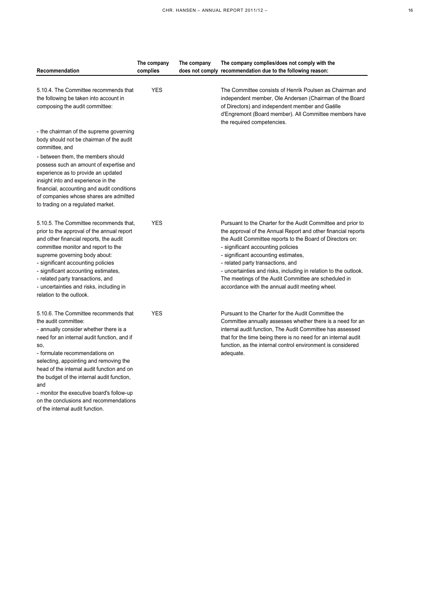| I |
|---|
|   |

|                                                                                                                                                                                                                                                                                                                                                                                                  | The company | The company | The company complies/does not comply with the                                                                                                                                                                                                                                                                                                                                                                                                                                              |
|--------------------------------------------------------------------------------------------------------------------------------------------------------------------------------------------------------------------------------------------------------------------------------------------------------------------------------------------------------------------------------------------------|-------------|-------------|--------------------------------------------------------------------------------------------------------------------------------------------------------------------------------------------------------------------------------------------------------------------------------------------------------------------------------------------------------------------------------------------------------------------------------------------------------------------------------------------|
| Recommendation                                                                                                                                                                                                                                                                                                                                                                                   | complies    |             | does not comply recommendation due to the following reason:                                                                                                                                                                                                                                                                                                                                                                                                                                |
| 5.10.4. The Committee recommends that<br>the following be taken into account in<br>composing the audit committee:                                                                                                                                                                                                                                                                                | <b>YES</b>  |             | The Committee consists of Henrik Poulsen as Chairman and<br>independent member, Ole Andersen (Chairman of the Board<br>of Directors) and independent member and Gaëlle<br>d'Engremont (Board member). All Committee members have<br>the required competencies.                                                                                                                                                                                                                             |
| - the chairman of the supreme governing<br>body should not be chairman of the audit<br>committee, and<br>- between them, the members should<br>possess such an amount of expertise and<br>experience as to provide an updated<br>insight into and experience in the<br>financial, accounting and audit conditions<br>of companies whose shares are admitted<br>to trading on a regulated market. |             |             |                                                                                                                                                                                                                                                                                                                                                                                                                                                                                            |
| 5.10.5. The Committee recommends that.<br>prior to the approval of the annual report<br>and other financial reports, the audit<br>committee monitor and report to the<br>supreme governing body about:<br>- significant accounting policies<br>- significant accounting estimates,<br>- related party transactions, and<br>- uncertainties and risks, including in<br>relation to the outlook.   | <b>YES</b>  |             | Pursuant to the Charter for the Audit Committee and prior to<br>the approval of the Annual Report and other financial reports<br>the Audit Committee reports to the Board of Directors on:<br>- significant accounting policies<br>- significant accounting estimates,<br>- related party transactions, and<br>- uncertainties and risks, including in relation to the outlook.<br>The meetings of the Audit Committee are scheduled in<br>accordance with the annual audit meeting wheel. |
| 5.10.6. The Committee recommends that<br>the audit committee:<br>- annually consider whether there is a<br>need for an internal audit function, and if<br>SO.<br>- formulate recommendations on<br>selecting, appointing and removing the<br>head of the internal audit function and on<br>the budget of the internal audit function,<br>and<br>- monitor the executive board's follow-up        | <b>YES</b>  |             | Pursuant to the Charter for the Audit Committee the<br>Committee annually assesses whether there is a need for an<br>internal audit function, The Audit Committee has assessed<br>that for the time being there is no need for an internal audit<br>function, as the internal control environment is considered<br>adequate.                                                                                                                                                               |

on the conclusions and recommendations of the internal audit function.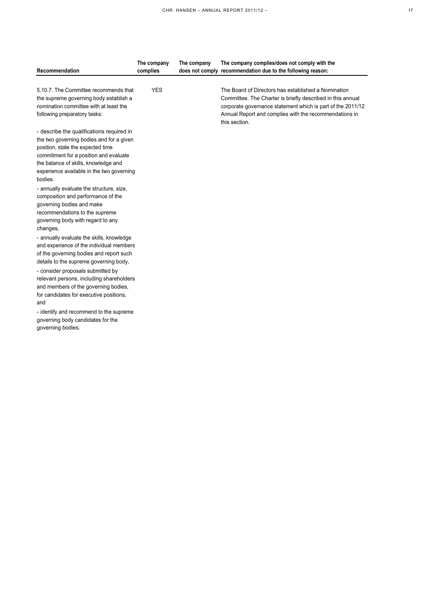| Recommendation                                                                                                                                                                                                                                                                          | The company<br>complies | The company | The company complies/does not comply with the<br>does not comply recommendation due to the following reason:                                                                                                                                                |
|-----------------------------------------------------------------------------------------------------------------------------------------------------------------------------------------------------------------------------------------------------------------------------------------|-------------------------|-------------|-------------------------------------------------------------------------------------------------------------------------------------------------------------------------------------------------------------------------------------------------------------|
| 5.10.7. The Committee recommends that<br>the supreme governing body establish a<br>nomination committee with at least the<br>following preparatory tasks:                                                                                                                               | <b>YES</b>              |             | The Board of Directors has established a Nomination<br>Committee. The Charter is briefly described in this annual<br>corporate governance statement which is part of the 2011/12<br>Annual Report and complies with the recommendations in<br>this section. |
| - describe the qualifications required in<br>the two governing bodies and for a given<br>position, state the expected time<br>commitment for a position and evaluate<br>the balance of skills, knowledge and<br>experience available in the two governing<br>bodies.                    |                         |             |                                                                                                                                                                                                                                                             |
| - annually evaluate the structure, size,<br>composition and performance of the<br>governing bodies and make<br>recommendations to the supreme<br>governing body with regard to any<br>changes,<br>- annually evaluate the skills, knowledge<br>and experience of the individual members |                         |             |                                                                                                                                                                                                                                                             |
| of the governing bodies and report such<br>details to the supreme governing body,<br>- consider proposals submitted by<br>relevant persons, including shareholders<br>and members of the governing bodies,<br>for candidates for executive positions,<br>and                            |                         |             |                                                                                                                                                                                                                                                             |
| - identify and recommend to the supreme<br>governing body candidates for the<br>governing bodies.                                                                                                                                                                                       |                         |             |                                                                                                                                                                                                                                                             |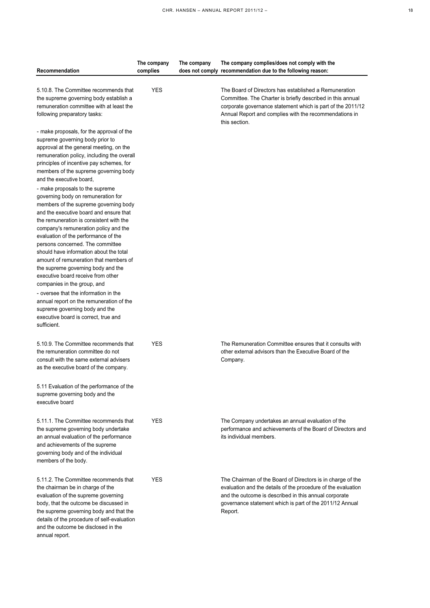| I<br>$\sim$ |
|-------------|

| Recommendation                                                                                                                                                                                                                                                                                                                                                                                                                                                                                                                                                                                                                                                                                          | The company<br>complies | The company | The company complies/does not comply with the<br>does not comply recommendation due to the following reason:                                                                                                                                                  |
|---------------------------------------------------------------------------------------------------------------------------------------------------------------------------------------------------------------------------------------------------------------------------------------------------------------------------------------------------------------------------------------------------------------------------------------------------------------------------------------------------------------------------------------------------------------------------------------------------------------------------------------------------------------------------------------------------------|-------------------------|-------------|---------------------------------------------------------------------------------------------------------------------------------------------------------------------------------------------------------------------------------------------------------------|
| 5.10.8. The Committee recommends that<br>the supreme governing body establish a<br>remuneration committee with at least the<br>following preparatory tasks:                                                                                                                                                                                                                                                                                                                                                                                                                                                                                                                                             | <b>YES</b>              |             | The Board of Directors has established a Remuneration<br>Committee. The Charter is briefly described in this annual<br>corporate governance statement which is part of the 2011/12<br>Annual Report and complies with the recommendations in<br>this section. |
| - make proposals, for the approval of the<br>supreme governing body prior to<br>approval at the general meeting, on the<br>remuneration policy, including the overall<br>principles of incentive pay schemes, for<br>members of the supreme governing body<br>and the executive board,                                                                                                                                                                                                                                                                                                                                                                                                                  |                         |             |                                                                                                                                                                                                                                                               |
| - make proposals to the supreme<br>governing body on remuneration for<br>members of the supreme governing body<br>and the executive board and ensure that<br>the remuneration is consistent with the<br>company's remuneration policy and the<br>evaluation of the performance of the<br>persons concerned. The committee<br>should have information about the total<br>amount of remuneration that members of<br>the supreme governing body and the<br>executive board receive from other<br>companies in the group, and<br>- oversee that the information in the<br>annual report on the remuneration of the<br>supreme governing body and the<br>executive board is correct, true and<br>sufficient. |                         |             |                                                                                                                                                                                                                                                               |
| 5.10.9. The Committee recommends that<br>the remuneration committee do not<br>consult with the same external advisers<br>as the executive board of the company.                                                                                                                                                                                                                                                                                                                                                                                                                                                                                                                                         | <b>YES</b>              |             | The Remuneration Committee ensures that it consults with<br>other external advisors than the Executive Board of the<br>Company.                                                                                                                               |
| 5.11 Evaluation of the performance of the<br>supreme governing body and the<br>executive board                                                                                                                                                                                                                                                                                                                                                                                                                                                                                                                                                                                                          |                         |             |                                                                                                                                                                                                                                                               |
| 5.11.1. The Committee recommends that<br>the supreme governing body undertake<br>an annual evaluation of the performance<br>and achievements of the supreme<br>governing body and of the individual<br>members of the body.                                                                                                                                                                                                                                                                                                                                                                                                                                                                             | <b>YES</b>              |             | The Company undertakes an annual evaluation of the<br>performance and achievements of the Board of Directors and<br>its individual members.                                                                                                                   |
| 5.11.2. The Committee recommends that<br>the chairman be in charge of the<br>evaluation of the supreme governing<br>body, that the outcome be discussed in<br>the supreme governing body and that the<br>details of the procedure of self-evaluation<br>and the outcome be disclosed in the<br>annual report.                                                                                                                                                                                                                                                                                                                                                                                           | <b>YES</b>              |             | The Chairman of the Board of Directors is in charge of the<br>evaluation and the details of the procedure of the evaluation<br>and the outcome is described in this annual corporate<br>governance statement which is part of the 2011/12 Annual<br>Report.   |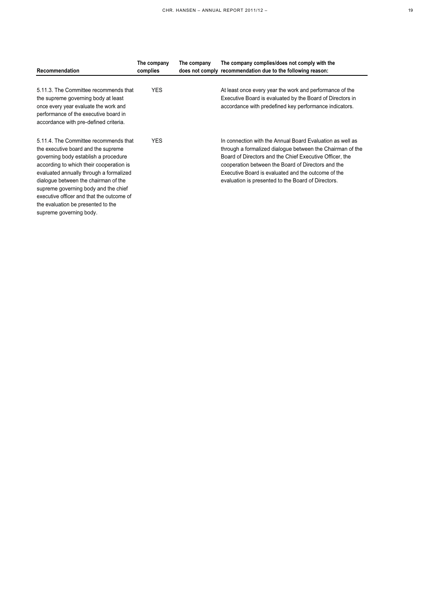| Recommendation                                                                                                                                                                                                                                                                                                                                                                                           | The company<br>complies | The company | The company complies/does not comply with the<br>does not comply recommendation due to the following reason:                                                                                                                                                                                                                                         |
|----------------------------------------------------------------------------------------------------------------------------------------------------------------------------------------------------------------------------------------------------------------------------------------------------------------------------------------------------------------------------------------------------------|-------------------------|-------------|------------------------------------------------------------------------------------------------------------------------------------------------------------------------------------------------------------------------------------------------------------------------------------------------------------------------------------------------------|
| 5.11.3. The Committee recommends that<br>the supreme governing body at least<br>once every year evaluate the work and<br>performance of the executive board in<br>accordance with pre-defined criteria.                                                                                                                                                                                                  | <b>YES</b>              |             | At least once every year the work and performance of the<br>Executive Board is evaluated by the Board of Directors in<br>accordance with predefined key performance indicators.                                                                                                                                                                      |
| 5.11.4. The Committee recommends that<br>the executive board and the supreme<br>governing body establish a procedure<br>according to which their cooperation is<br>evaluated annually through a formalized<br>dialoque between the chairman of the<br>supreme governing body and the chief<br>executive officer and that the outcome of<br>the evaluation be presented to the<br>supreme governing body. | <b>YES</b>              |             | In connection with the Annual Board Evaluation as well as<br>through a formalized dialogue between the Chairman of the<br>Board of Directors and the Chief Executive Officer, the<br>cooperation between the Board of Directors and the<br>Executive Board is evaluated and the outcome of the<br>evaluation is presented to the Board of Directors. |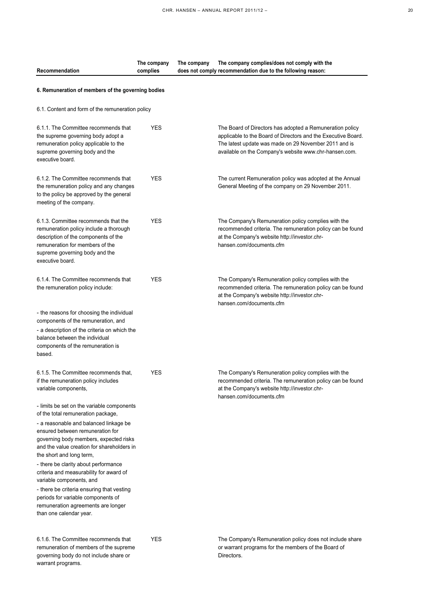**does not comply recommendation due to the following reason:**

**The company complies/does not comply with the** 

**The company** 

**The company complies**

**Recommendation**

| c | I<br>۰. |
|---|---------|

| 6. Remuneration of members of the governing bodies                                                                                                                                                                |            |                                                                                                                                                                                                                                              |  |  |
|-------------------------------------------------------------------------------------------------------------------------------------------------------------------------------------------------------------------|------------|----------------------------------------------------------------------------------------------------------------------------------------------------------------------------------------------------------------------------------------------|--|--|
| 6.1. Content and form of the remuneration policy                                                                                                                                                                  |            |                                                                                                                                                                                                                                              |  |  |
| 6.1.1. The Committee recommends that<br>the supreme governing body adopt a<br>remuneration policy applicable to the<br>supreme governing body and the<br>executive board.                                         | <b>YES</b> | The Board of Directors has adopted a Remuneration policy<br>applicable to the Board of Directors and the Executive Board.<br>The latest update was made on 29 November 2011 and is<br>available on the Company's website www.chr-hansen.com. |  |  |
| 6.1.2. The Committee recommends that<br>the remuneration policy and any changes<br>to the policy be approved by the general<br>meeting of the company.                                                            | <b>YES</b> | The current Remuneration policy was adopted at the Annual<br>General Meeting of the company on 29 November 2011.                                                                                                                             |  |  |
| 6.1.3. Committee recommends that the<br>remuneration policy include a thorough<br>description of the components of the<br>remuneration for members of the<br>supreme governing body and the<br>executive board.   | <b>YES</b> | The Company's Remuneration policy complies with the<br>recommended criteria. The remuneration policy can be found<br>at the Company's website http://investor.chr-<br>hansen.com/documents.cfm                                               |  |  |
| 6.1.4. The Committee recommends that<br>the remuneration policy include:                                                                                                                                          | <b>YES</b> | The Company's Remuneration policy complies with the<br>recommended criteria. The remuneration policy can be found<br>at the Company's website http://investor.chr-<br>hansen.com/documents.cfm                                               |  |  |
| - the reasons for choosing the individual<br>components of the remuneration, and<br>- a description of the criteria on which the<br>balance between the individual<br>components of the remuneration is<br>based. |            |                                                                                                                                                                                                                                              |  |  |
| 6.1.5. The Committee recommends that,<br>if the remuneration policy includes<br>variable components,                                                                                                              | <b>YES</b> | The Company's Remuneration policy complies with the<br>recommended criteria. The remuneration policy can be found<br>at the Company's website http://investor.chr-<br>hansen.com/documents.cfm                                               |  |  |
| - limits be set on the variable components<br>of the total remuneration package,                                                                                                                                  |            |                                                                                                                                                                                                                                              |  |  |
| - a reasonable and balanced linkage be<br>ensured between remuneration for<br>governing body members, expected risks<br>and the value creation for shareholders in<br>the short and long term,                    |            |                                                                                                                                                                                                                                              |  |  |
| - there be clarity about performance<br>criteria and measurability for award of<br>variable components, and                                                                                                       |            |                                                                                                                                                                                                                                              |  |  |
| - there be criteria ensuring that vesting<br>periods for variable components of<br>remuneration agreements are longer<br>than one calendar year.                                                                  |            |                                                                                                                                                                                                                                              |  |  |
| 6.1.6. The Committee recommends that<br>remuneration of members of the supreme<br>governing body do not include share or<br>warrant programs.                                                                     | <b>YES</b> | The Company's Remuneration policy does not include share<br>or warrant programs for the members of the Board of<br>Directors.                                                                                                                |  |  |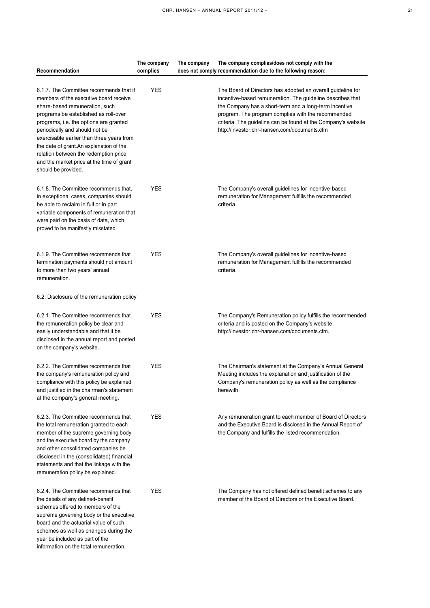| c |  |
|---|--|

| Recommendation                                                                                                                                                                                                                                                                                                                                                                                                                               | The company<br>complies | The company | The company complies/does not comply with the<br>does not comply recommendation due to the following reason:                                                                                                                                                                                                                                               |
|----------------------------------------------------------------------------------------------------------------------------------------------------------------------------------------------------------------------------------------------------------------------------------------------------------------------------------------------------------------------------------------------------------------------------------------------|-------------------------|-------------|------------------------------------------------------------------------------------------------------------------------------------------------------------------------------------------------------------------------------------------------------------------------------------------------------------------------------------------------------------|
| 6.1.7. The Committee recommends that if<br>members of the executive board receive<br>share-based remuneration, such<br>programs be established as roll-over<br>programs, i.e. the options are granted<br>periodically and should not be<br>exercisable earlier than three years from<br>the date of grant.An explanation of the<br>relation between the redemption price<br>and the market price at the time of grant<br>should be provided. | <b>YES</b>              |             | The Board of Directors has adopted an overall guideline for<br>incentive-based remuneration. The guideline describes that<br>the Company has a short-term and a long-term incentive<br>program. The program complies with the recommended<br>criteria. The guideline can be found at the Company's website<br>http://investor.chr-hansen.com/documents.cfm |
| 6.1.8. The Committee recommends that,<br>in exceptional cases, companies should<br>be able to reclaim in full or in part<br>variable components of remuneration that<br>were paid on the basis of data, which<br>proved to be manifestly misstated.                                                                                                                                                                                          | <b>YES</b>              |             | The Company's overall guidelines for incentive-based<br>remuneration for Management fulfills the recommended<br>criteria.                                                                                                                                                                                                                                  |
| 6.1.9. The Committee recommends that<br>termination payments should not amount<br>to more than two years' annual<br>remuneration.                                                                                                                                                                                                                                                                                                            | <b>YES</b>              |             | The Company's overall guidelines for incentive-based<br>remuneration for Management fulfills the recommended<br>criteria.                                                                                                                                                                                                                                  |
| 6.2. Disclosure of the remuneration policy                                                                                                                                                                                                                                                                                                                                                                                                   |                         |             |                                                                                                                                                                                                                                                                                                                                                            |
| 6.2.1. The Committee recommends that<br>the remuneration policy be clear and<br>easily understandable and that it be<br>disclosed in the annual report and posted<br>on the company's website.                                                                                                                                                                                                                                               | <b>YES</b>              |             | The Company's Remuneration policy fulfills the recommended<br>criteria and is posted on the Company's website<br>http://investor.chr-hansen.com/documents.cfm.                                                                                                                                                                                             |
| 6.2.2. The Committee recommends that<br>the company's remuneration policy and<br>compliance with this policy be explained<br>and justified in the chairman's statement<br>at the company's general meeting.                                                                                                                                                                                                                                  | <b>YES</b>              |             | The Chairman's statement at the Company's Annual General<br>Meeting includes the explanation and justification of the<br>Company's remuneration policy as well as the compliance<br>herewith.                                                                                                                                                              |
| 6.2.3. The Committee recommends that<br>the total remuneration granted to each<br>member of the supreme governing body<br>and the executive board by the company<br>and other consolidated companies be<br>disclosed in the (consolidated) financial<br>statements and that the linkage with the<br>remuneration policy be explained.                                                                                                        | <b>YES</b>              |             | Any remuneration grant to each member of Board of Directors<br>and the Executive Board is disclosed in the Annual Report of<br>the Company and fulfills the listed recommendation.                                                                                                                                                                         |
| 6.2.4. The Committee recommends that<br>the details of any defined-benefit<br>schemes offered to members of the<br>supreme governing body or the executive<br>board and the actuarial value of such<br>schemes as well as changes during the<br>year be included as part of the<br>information on the total remuneration.                                                                                                                    | <b>YES</b>              |             | The Company has not offered defined benefit schemes to any<br>member of the Board of Directors or the Executive Board.                                                                                                                                                                                                                                     |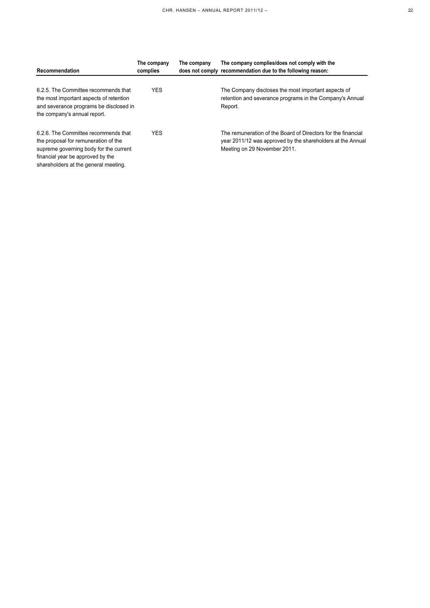| Recommendation                                                                                                                                                                                      | The company<br>complies | The company | The company complies/does not comply with the<br>does not comply recommendation due to the following reason:                                                |
|-----------------------------------------------------------------------------------------------------------------------------------------------------------------------------------------------------|-------------------------|-------------|-------------------------------------------------------------------------------------------------------------------------------------------------------------|
| 6.2.5. The Committee recommends that<br>the most important aspects of retention<br>and severance programs be disclosed in<br>the company's annual report.                                           | <b>YES</b>              |             | The Company discloses the most important aspects of<br>retention and severance programs in the Company's Annual<br>Report.                                  |
| 6.2.6. The Committee recommends that<br>the proposal for remuneration of the<br>supreme governing body for the current<br>financial year be approved by the<br>shareholders at the general meeting. | <b>YES</b>              |             | The remuneration of the Board of Directors for the financial<br>year 2011/12 was approved by the shareholders at the Annual<br>Meeting on 29 November 2011. |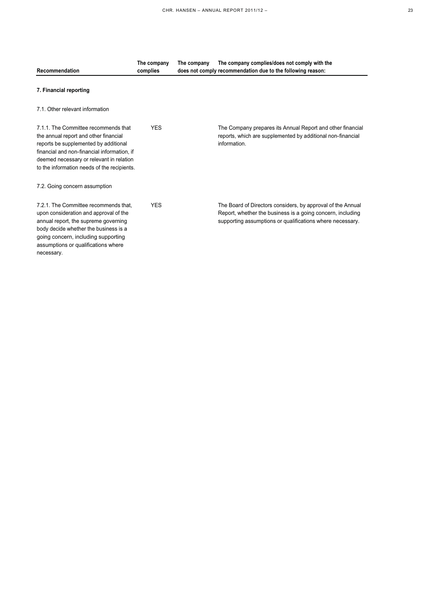|   | 전 사         |
|---|-------------|
| ¢ | I<br>$\sim$ |

| Recommendation                                                                                                                                                                                                                                                   | The company<br>complies | The company | The company complies/does not comply with the<br>does not comply recommendation due to the following reason:                                                                           |
|------------------------------------------------------------------------------------------------------------------------------------------------------------------------------------------------------------------------------------------------------------------|-------------------------|-------------|----------------------------------------------------------------------------------------------------------------------------------------------------------------------------------------|
| 7. Financial reporting                                                                                                                                                                                                                                           |                         |             |                                                                                                                                                                                        |
| 7.1. Other relevant information                                                                                                                                                                                                                                  |                         |             |                                                                                                                                                                                        |
| 7.1.1. The Committee recommends that<br>the annual report and other financial<br>reports be supplemented by additional<br>financial and non-financial information, if<br>deemed necessary or relevant in relation<br>to the information needs of the recipients. | <b>YES</b>              |             | The Company prepares its Annual Report and other financial<br>reports, which are supplemented by additional non-financial<br>information.                                              |
| 7.2. Going concern assumption                                                                                                                                                                                                                                    |                         |             |                                                                                                                                                                                        |
| 7.2.1. The Committee recommends that.<br>upon consideration and approval of the<br>annual report, the supreme governing<br>body decide whether the business is a<br>going concern, including supporting<br>assumptions or qualifications where<br>necessary.     | <b>YES</b>              |             | The Board of Directors considers, by approval of the Annual<br>Report, whether the business is a going concern, including<br>supporting assumptions or qualifications where necessary. |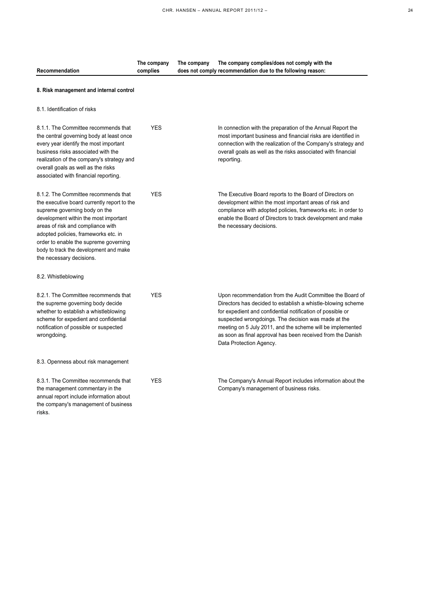| Recommendation                                                                                                                                                                                                                                                                                                                                            | The company<br>complies | The company | The company complies/does not comply with the<br>does not comply recommendation due to the following reason:                                                                                                                                                                                                                                                                                          |
|-----------------------------------------------------------------------------------------------------------------------------------------------------------------------------------------------------------------------------------------------------------------------------------------------------------------------------------------------------------|-------------------------|-------------|-------------------------------------------------------------------------------------------------------------------------------------------------------------------------------------------------------------------------------------------------------------------------------------------------------------------------------------------------------------------------------------------------------|
| 8. Risk management and internal control                                                                                                                                                                                                                                                                                                                   |                         |             |                                                                                                                                                                                                                                                                                                                                                                                                       |
| 8.1. Identification of risks                                                                                                                                                                                                                                                                                                                              |                         |             |                                                                                                                                                                                                                                                                                                                                                                                                       |
| 8.1.1. The Committee recommends that<br>the central governing body at least once<br>every year identify the most important<br>business risks associated with the<br>realization of the company's strategy and<br>overall goals as well as the risks<br>associated with financial reporting.                                                               | <b>YES</b>              |             | In connection with the preparation of the Annual Report the<br>most important business and financial risks are identified in<br>connection with the realization of the Company's strategy and<br>overall goals as well as the risks associated with financial<br>reporting.                                                                                                                           |
| 8.1.2. The Committee recommends that<br>the executive board currently report to the<br>supreme governing body on the<br>development within the most important<br>areas of risk and compliance with<br>adopted policies, frameworks etc. in<br>order to enable the supreme governing<br>body to track the development and make<br>the necessary decisions. | <b>YES</b>              |             | The Executive Board reports to the Board of Directors on<br>development within the most important areas of risk and<br>compliance with adopted policies, frameworks etc. in order to<br>enable the Board of Directors to track development and make<br>the necessary decisions.                                                                                                                       |
| 8.2. Whistleblowing                                                                                                                                                                                                                                                                                                                                       |                         |             |                                                                                                                                                                                                                                                                                                                                                                                                       |
| 8.2.1. The Committee recommends that<br>the supreme governing body decide<br>whether to establish a whistleblowing<br>scheme for expedient and confidential<br>notification of possible or suspected<br>wrongdoing.                                                                                                                                       | <b>YES</b>              |             | Upon recommendation from the Audit Committee the Board of<br>Directors has decided to establish a whistle-blowing scheme<br>for expedient and confidential notification of possible or<br>suspected wrongdoings. The decision was made at the<br>meeting on 5 July 2011, and the scheme will be implemented<br>as soon as final approval has been received from the Danish<br>Data Protection Agency. |
| 8.3. Openness about risk management                                                                                                                                                                                                                                                                                                                       |                         |             |                                                                                                                                                                                                                                                                                                                                                                                                       |
| 8.3.1. The Committee recommends that<br>the management commentary in the<br>annual report include information about<br>the company's management of business<br>risks.                                                                                                                                                                                     | <b>YES</b>              |             | The Company's Annual Report includes information about the<br>Company's management of business risks.                                                                                                                                                                                                                                                                                                 |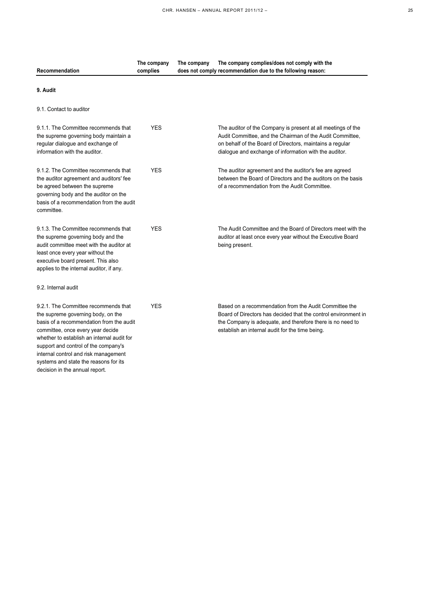| ٠ | ٠           |
|---|-------------|
|   | I<br>$\sim$ |

| Recommendation                                                                                                                                                                                                                                                                                                                                                       | The company<br>complies | The company | The company complies/does not comply with the<br>does not comply recommendation due to the following reason:                                                                                                                                    |
|----------------------------------------------------------------------------------------------------------------------------------------------------------------------------------------------------------------------------------------------------------------------------------------------------------------------------------------------------------------------|-------------------------|-------------|-------------------------------------------------------------------------------------------------------------------------------------------------------------------------------------------------------------------------------------------------|
| 9. Audit                                                                                                                                                                                                                                                                                                                                                             |                         |             |                                                                                                                                                                                                                                                 |
| 9.1. Contact to auditor                                                                                                                                                                                                                                                                                                                                              |                         |             |                                                                                                                                                                                                                                                 |
| 9.1.1. The Committee recommends that<br>the supreme governing body maintain a<br>regular dialogue and exchange of<br>information with the auditor.                                                                                                                                                                                                                   | <b>YES</b>              |             | The auditor of the Company is present at all meetings of the<br>Audit Committee, and the Chairman of the Audit Committee,<br>on behalf of the Board of Directors, maintains a regular<br>dialogue and exchange of information with the auditor. |
| 9.1.2. The Committee recommends that<br>the auditor agreement and auditors' fee<br>be agreed between the supreme<br>governing body and the auditor on the<br>basis of a recommendation from the audit<br>committee.                                                                                                                                                  | <b>YES</b>              |             | The auditor agreement and the auditor's fee are agreed<br>between the Board of Directors and the auditors on the basis<br>of a recommendation from the Audit Committee.                                                                         |
| 9.1.3. The Committee recommends that<br>the supreme governing body and the<br>audit committee meet with the auditor at<br>least once every year without the<br>executive board present. This also<br>applies to the internal auditor, if any.                                                                                                                        | <b>YES</b>              |             | The Audit Committee and the Board of Directors meet with the<br>auditor at least once every year without the Executive Board<br>being present.                                                                                                  |
| 9.2. Internal audit                                                                                                                                                                                                                                                                                                                                                  |                         |             |                                                                                                                                                                                                                                                 |
| 9.2.1. The Committee recommends that<br>the supreme governing body, on the<br>basis of a recommendation from the audit<br>committee, once every year decide<br>whether to establish an internal audit for<br>support and control of the company's<br>internal control and risk management<br>systems and state the reasons for its<br>decision in the annual report. | <b>YES</b>              |             | Based on a recommendation from the Audit Committee the<br>Board of Directors has decided that the control environment in<br>the Company is adequate, and therefore there is no need to<br>establish an internal audit for the time being.       |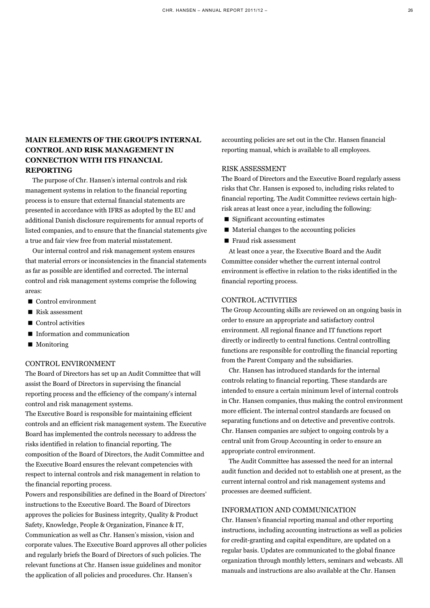# **MAIN ELEMENTS OF THE GROUP'S INTERNAL CONTROL AND RISK MANAGEMENT IN CONNECTION WITH ITS FINANCIAL REPORTING**

The purpose of Chr. Hansen's internal controls and risk management systems in relation to the financial reporting process is to ensure that external financial statements are presented in accordance with IFRS as adopted by the EU and additional Danish disclosure requirements for annual reports of listed companies, and to ensure that the financial statements give a true and fair view free from material misstatement.

Our internal control and risk management system ensures that material errors or inconsistencies in the financial statements as far as possible are identified and corrected. The internal control and risk management systems comprise the following areas:

- Control environment
- Risk assessment
- $\blacksquare$  Control activities
- Information and communication
- Monitoring

#### CONTROL ENVIRONMENT

The Board of Directors has set up an Audit Committee that will assist the Board of Directors in supervising the financial reporting process and the efficiency of the company's internal control and risk management systems.

The Executive Board is responsible for maintaining efficient controls and an efficient risk management system. The Executive Board has implemented the controls necessary to address the risks identified in relation to financial reporting. The composition of the Board of Directors, the Audit Committee and the Executive Board ensures the relevant competencies with respect to internal controls and risk management in relation to the financial reporting process.

Powers and responsibilities are defined in the Board of Directors' instructions to the Executive Board. The Board of Directors approves the policies for Business integrity, Quality & Product Safety, Knowledge, People & Organization, Finance & IT, Communication as well as Chr. Hansen's mission, vision and corporate values. The Executive Board approves all other policies and regularly briefs the Board of Directors of such policies. The relevant functions at Chr. Hansen issue guidelines and monitor the application of all policies and procedures. Chr. Hansen's

accounting policies are set out in the Chr. Hansen financial reporting manual, which is available to all employees.

### RISK ASSESSMENT

The Board of Directors and the Executive Board regularly assess risks that Chr. Hansen is exposed to, including risks related to financial reporting. The Audit Committee reviews certain highrisk areas at least once a year, including the following:

- Significant accounting estimates
- Material changes to the accounting policies
- Fraud risk assessment

At least once a year, the Executive Board and the Audit Committee consider whether the current internal control environment is effective in relation to the risks identified in the financial reporting process.

## CONTROL ACTIVITIES

The Group Accounting skills are reviewed on an ongoing basis in order to ensure an appropriate and satisfactory control environment. All regional finance and IT functions report directly or indirectly to central functions. Central controlling functions are responsible for controlling the financial reporting from the Parent Company and the subsidiaries.

Chr. Hansen has introduced standards for the internal controls relating to financial reporting. These standards are intended to ensure a certain minimum level of internal controls in Chr. Hansen companies, thus making the control environment more efficient. The internal control standards are focused on separating functions and on detective and preventive controls. Chr. Hansen companies are subject to ongoing controls by a central unit from Group Accounting in order to ensure an appropriate control environment.

The Audit Committee has assessed the need for an internal audit function and decided not to establish one at present, as the current internal control and risk management systems and processes are deemed sufficient.

## INFORMATION AND COMMUNICATION

Chr. Hansen's financial reporting manual and other reporting instructions, including accounting instructions as well as policies for credit-granting and capital expenditure, are updated on a regular basis. Updates are communicated to the global finance organization through monthly letters, seminars and webcasts. All manuals and instructions are also available at the Chr. Hansen